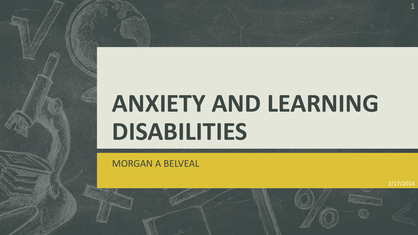# **ANXIETY AND LEARNING DISABILITIES**

MORGAN A BELVEAL

2/17/2014

**1**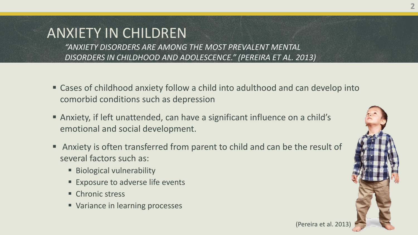# ANXIETY IN CHILDREN

*"ANXIETY DISORDERS ARE AMONG THE MOST PREVALENT MENTAL DISORDERS IN CHILDHOOD AND ADOLESCENCE." (PEREIRA ET AL. 2013)*

- Cases of childhood anxiety follow a child into adulthood and can develop into comorbid conditions such as depression
- Anxiety, if left unattended, can have a significant influence on a child's emotional and social development.
- Anxiety is often transferred from parent to child and can be the result of several factors such as:
	- **Biological vulnerability**
	- **Exposure to adverse life events**
	- Chronic stress
	- Variance in learning processes



(Pereira et al. 201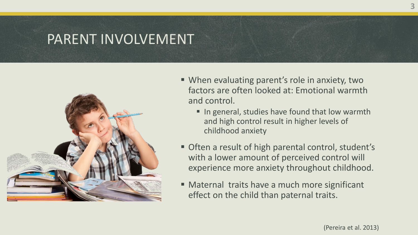### PARENT INVOLVEMENT



- When evaluating parent's role in anxiety, two factors are often looked at: Emotional warmth and control.
	- In general, studies have found that low warmth and high control result in higher levels of childhood anxiety
- **Often a result of high parental control, student's** with a lower amount of perceived control will experience more anxiety throughout childhood.
- Maternal traits have a much more significant effect on the child than paternal traits.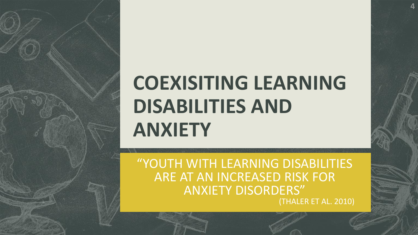# **COEXISITING LEARNING DISABILITIES AND ANXIETY**

**4**

"YOUTH WITH LEARNING DISABILITIES ARE AT AN INCREASED RISK FOR ANXIETY DISORDERS" (THALER ET AL. 2010)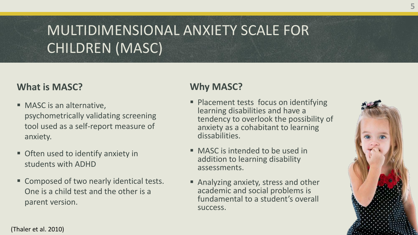# MULTIDIMENSIONAL ANXIETY SCALE FOR CHILDREN (MASC)

### **What is MASC?**

- **MASC** is an alternative, psychometrically validating screening tool used as a self-report measure of anxiety.
- **Often used to identify anxiety in** students with ADHD
- **Example Composed of two nearly identical tests.** One is a child test and the other is a parent version.

### **Why MASC?**

- **Placement tests focus on identifying** learning disabilities and have a tendency to overlook the possibility of anxiety as a cohabitant to learning dissabilities.
- **MASC** is intended to be used in addition to learning disability assessments.
- **Analyzing anxiety, stress and other** academic and social problems is fundamental to a student's overall success.



(Thaler et al. 2010)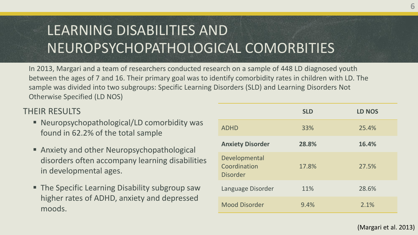# LEARNING DISABILITIES AND NEUROPSYCHOPATHOLOGICAL COMORBITIES

In 2013, Margari and a team of researchers conducted research on a sample of 448 LD diagnosed youth between the ages of 7 and 16. Their primary goal was to identify comorbidity rates in children with LD. The sample was divided into two subgroups: Specific Learning Disorders (SLD) and Learning Disorders Not Otherwise Specified (LD NOS)

#### THEIR RESULTS

- Neuropsychopathological/LD comorbidity was found in 62.2% of the total sample
- **Anxiety and other Neuropsychopathological** disorders often accompany learning disabilities in developmental ages.
- **The Specific Learning Disability subgroup saw** higher rates of ADHD, anxiety and depressed moods.

|                                                  | <b>SLD</b> | <b>LD NOS</b> |
|--------------------------------------------------|------------|---------------|
| <b>ADHD</b>                                      | 33%        | 25.4%         |
| <b>Anxiety Disorder</b>                          | 28.8%      | 16.4%         |
| Developmental<br>Coordination<br><b>Disorder</b> | 17.8%      | 27.5%         |
| Language Disorder                                | 11%        | 28.6%         |
| <b>Mood Disorder</b>                             | 9.4%       | 2.1%          |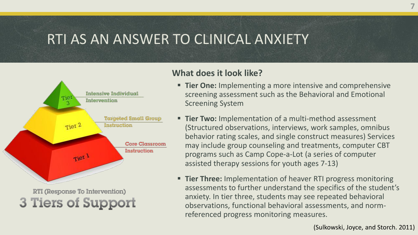## RTI AS AN ANSWER TO CLINICAL ANXIETY



3 Tiers of Support

#### **What does it look like?**

- **Tier One:** Implementing a more intensive and comprehensive screening assessment such as the Behavioral and Emotional Screening System
- **Tier Two:** Implementation of a multi-method assessment (Structured observations, interviews, work samples, omnibus behavior rating scales, and single construct measures) Services may include group counseling and treatments, computer CBT programs such as Camp Cope-a-Lot (a series of computer assisted therapy sessions for youth ages 7-13)
- **Tier Three:** Implementation of heaver RTI progress monitoring assessments to further understand the specifics of the student's anxiety. In tier three, students may see repeated behavioral observations, functional behavioral assessments, and normreferenced progress monitoring measures.

(Sulkowski, Joyce, and Storch. 2011)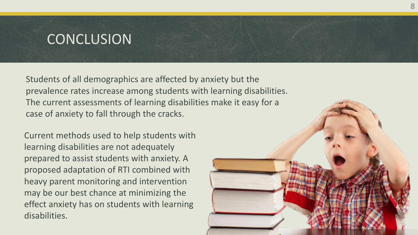## **CONCLUSION**

Students of all demographics are affected by anxiety but the prevalence rates increase among students with learning disabilities. The current assessments of learning disabilities make it easy for a case of anxiety to fall through the cracks.

Current methods used to help students with learning disabilities are not adequately prepared to assist students with anxiety. A proposed adaptation of RTI combined with heavy parent monitoring and intervention may be our best chance at minimizing the effect anxiety has on students with learning disabilities.